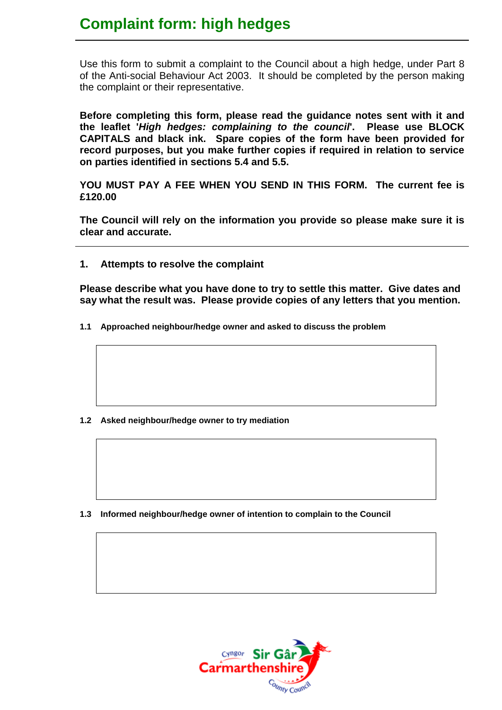## **Complaint form: high hedges**

Use this form to submit a complaint to the Council about a high hedge, under Part 8 of the Anti-social Behaviour Act 2003. It should be completed by the person making the complaint or their representative.

**Before completing this form, please read the guidance notes sent with it and the leaflet '***High hedges: complaining to the council***'. Please use BLOCK CAPITALS and black ink. Spare copies of the form have been provided for record purposes, but you make further copies if required in relation to service on parties identified in sections 5.4 and 5.5.**

**YOU MUST PAY A FEE WHEN YOU SEND IN THIS FORM. The current fee is £120.00**

**The Council will rely on the information you provide so please make sure it is clear and accurate.**

**1. Attempts to resolve the complaint**

**Please describe what you have done to try to settle this matter. Give dates and say what the result was. Please provide copies of any letters that you mention.**

**1.1 Approached neighbour/hedge owner and asked to discuss the problem**

**1.2 Asked neighbour/hedge owner to try mediation**

**1.3 Informed neighbour/hedge owner of intention to complain to the Council**

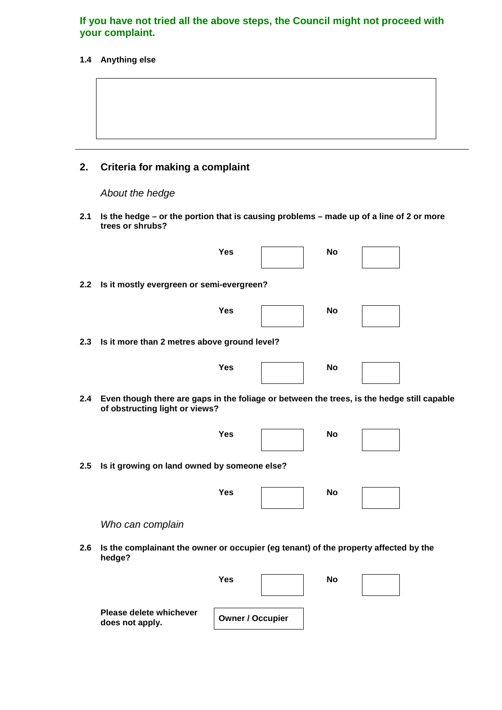#### **If you have not tried all the above steps, the Council might not proceed with your complaint.**

#### **1.4 Anything else**

## **2. Criteria for making a complaint**

*About the hedge*

**Please delete whichever** 

**does not apply. Owner / Occupier**

**2.1 Is the hedge – or the portion that is causing problems – made up of a line of 2 or more trees or shrubs?**

|     | <b>Yes</b>                                                                                                                   |  | <b>No</b> |  |  |  |  |
|-----|------------------------------------------------------------------------------------------------------------------------------|--|-----------|--|--|--|--|
| 2.2 | Is it mostly evergreen or semi-evergreen?                                                                                    |  |           |  |  |  |  |
|     | <b>Yes</b>                                                                                                                   |  | <b>No</b> |  |  |  |  |
| 2.3 | Is it more than 2 metres above ground level?                                                                                 |  |           |  |  |  |  |
|     | <b>Yes</b>                                                                                                                   |  | <b>No</b> |  |  |  |  |
| 2.4 | Even though there are gaps in the foliage or between the trees, is the hedge still capable<br>of obstructing light or views? |  |           |  |  |  |  |
|     | <b>Yes</b>                                                                                                                   |  | No        |  |  |  |  |
| 2.5 | Is it growing on land owned by someone else?                                                                                 |  |           |  |  |  |  |
|     | <b>Yes</b>                                                                                                                   |  | <b>No</b> |  |  |  |  |
|     | Who can complain                                                                                                             |  |           |  |  |  |  |
| 2.6 | Is the complainant the owner or occupier (eg tenant) of the property affected by the<br>hedge?                               |  |           |  |  |  |  |
|     | <b>Yes</b>                                                                                                                   |  | No        |  |  |  |  |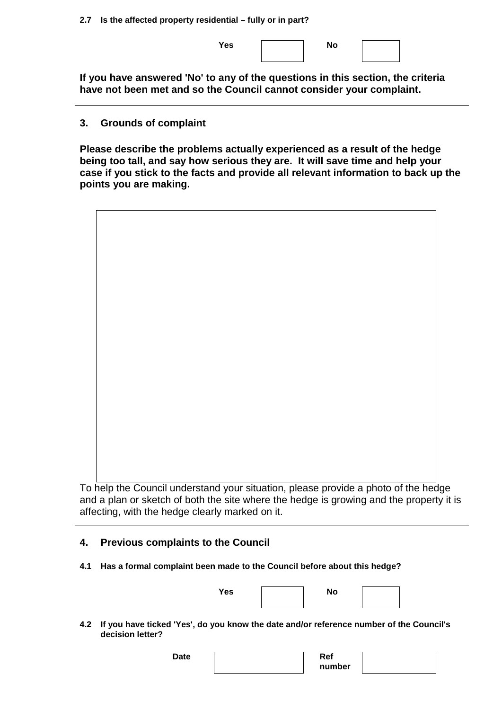**2.7 Is the affected property residential – fully or in part?**

Yes | No

**If you have answered 'No' to any of the questions in this section, the criteria have not been met and so the Council cannot consider your complaint.**

#### **3. Grounds of complaint**

**Please describe the problems actually experienced as a result of the hedge being too tall, and say how serious they are. It will save time and help your case if you stick to the facts and provide all relevant information to back up the points you are making.**



To help the Council understand your situation, please provide a photo of the hedge and a plan or sketch of both the site where the hedge is growing and the property it is affecting, with the hedge clearly marked on it.

## **4. Previous complaints to the Council**

**4.1 Has a formal complaint been made to the Council before about this hedge?**

| $\sim$<br>۰. |  |
|--------------|--|
|              |  |





**4.2 If you have ticked 'Yes', do you know the date and/or reference number of the Council's decision letter?**

> Date **Ref number**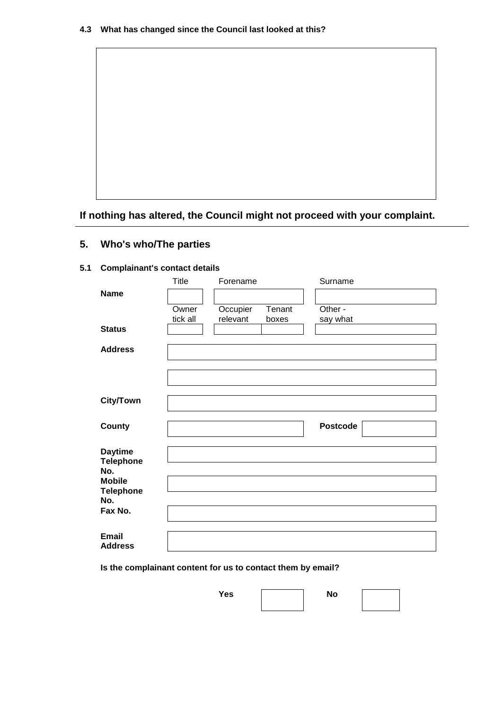

**If nothing has altered, the Council might not proceed with your complaint.**

### **5. Who's who/The parties**

#### **5.1 Complainant's contact details**

|                                | Title    | Forename |        | Surname         |
|--------------------------------|----------|----------|--------|-----------------|
| <b>Name</b>                    |          |          |        |                 |
|                                | Owner    | Occupier | Tenant | Other -         |
|                                | tick all | relevant | boxes  | say what        |
| <b>Status</b>                  |          |          |        |                 |
| <b>Address</b>                 |          |          |        |                 |
|                                |          |          |        |                 |
|                                |          |          |        |                 |
|                                |          |          |        |                 |
|                                |          |          |        |                 |
| <b>City/Town</b>               |          |          |        |                 |
|                                |          |          |        |                 |
| <b>County</b>                  |          |          |        | <b>Postcode</b> |
|                                |          |          |        |                 |
| <b>Daytime</b>                 |          |          |        |                 |
| <b>Telephone</b><br>No.        |          |          |        |                 |
| <b>Mobile</b>                  |          |          |        |                 |
| <b>Telephone</b>               |          |          |        |                 |
| No.                            |          |          |        |                 |
| Fax No.                        |          |          |        |                 |
|                                |          |          |        |                 |
| <b>Email</b><br><b>Address</b> |          |          |        |                 |
|                                |          |          |        |                 |

**Is the complainant content for us to contact them by email?**

Yes **No**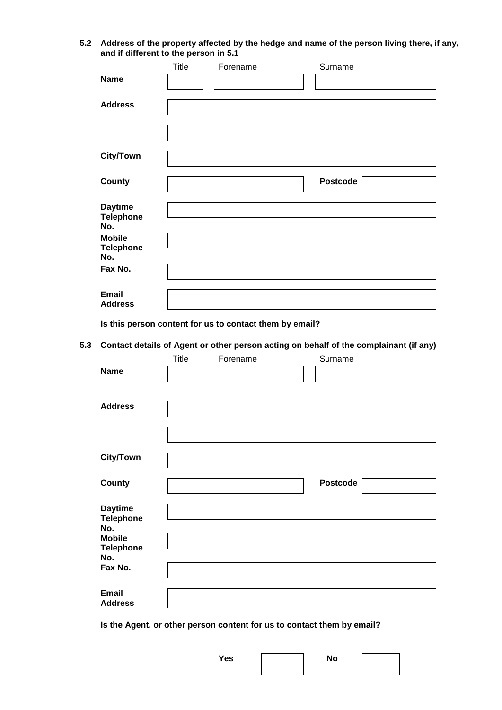**5.2 Address of the property affected by the hedge and name of the person living there, if any, and if different to the person in 5.1** 

|                                           | <b>Title</b> | Forename | Surname         |
|-------------------------------------------|--------------|----------|-----------------|
| <b>Name</b>                               |              |          |                 |
| <b>Address</b>                            |              |          |                 |
|                                           |              |          |                 |
| <b>City/Town</b>                          |              |          |                 |
| County                                    |              |          | <b>Postcode</b> |
| <b>Daytime</b><br><b>Telephone</b><br>No. |              |          |                 |
| <b>Mobile</b><br><b>Telephone</b><br>No.  |              |          |                 |
| Fax No.                                   |              |          |                 |
| <b>Email</b><br><b>Address</b>            |              |          |                 |

**Is this person content for us to contact them by email?**

**5.3 Contact details of Agent or other person acting on behalf of the complainant (if any)**

|                         | Title | Forename | Surname         |
|-------------------------|-------|----------|-----------------|
| <b>Name</b>             |       |          |                 |
|                         |       |          |                 |
| <b>Address</b>          |       |          |                 |
|                         |       |          |                 |
|                         |       |          |                 |
|                         |       |          |                 |
| <b>City/Town</b>        |       |          |                 |
|                         |       |          |                 |
| <b>County</b>           |       |          | <b>Postcode</b> |
|                         |       |          |                 |
| <b>Daytime</b>          |       |          |                 |
| <b>Telephone</b><br>No. |       |          |                 |
| <b>Mobile</b>           |       |          |                 |
| <b>Telephone</b><br>No. |       |          |                 |
| Fax No.                 |       |          |                 |
|                         |       |          |                 |
| <b>Email</b>            |       |          |                 |
| <b>Address</b>          |       |          |                 |

**Is the Agent, or other person content for us to contact them by email?**

Yes **No**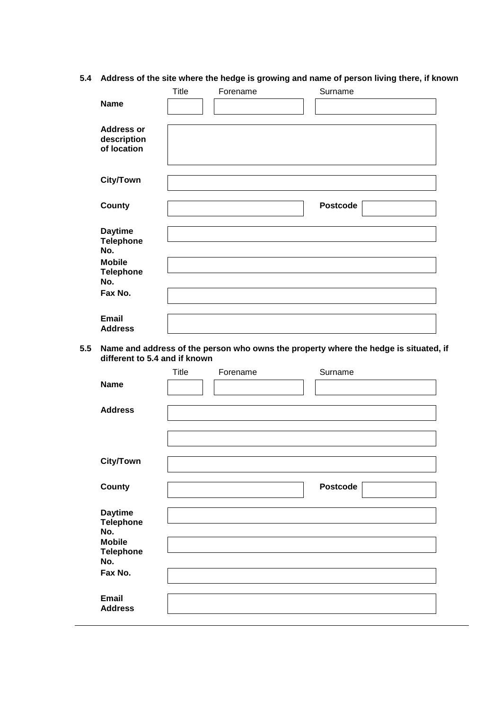# **5.4 Address of the site where the hedge is growing and name of person living there, if known**

|                                                 | Title | Forename | Surname         |
|-------------------------------------------------|-------|----------|-----------------|
| <b>Name</b>                                     |       |          |                 |
|                                                 |       |          |                 |
| <b>Address or</b><br>description<br>of location |       |          |                 |
| <b>City/Town</b>                                |       |          |                 |
|                                                 |       |          |                 |
| <b>County</b>                                   |       |          | <b>Postcode</b> |
|                                                 |       |          |                 |
| <b>Daytime</b><br><b>Telephone</b>              |       |          |                 |
| No.                                             |       |          |                 |
| <b>Mobile</b>                                   |       |          |                 |
| <b>Telephone</b><br>No.                         |       |          |                 |
| Fax No.                                         |       |          |                 |
|                                                 |       |          |                 |
| <b>Email</b><br><b>Address</b>                  |       |          |                 |

**5.5 Name and address of the person who owns the property where the hedge is situated, if different to 5.4 and if known**

|                                                                                | Title | Forename | Surname         |
|--------------------------------------------------------------------------------|-------|----------|-----------------|
| <b>Name</b>                                                                    |       |          |                 |
| <b>Address</b>                                                                 |       |          |                 |
|                                                                                |       |          |                 |
| <b>City/Town</b>                                                               |       |          |                 |
| <b>County</b>                                                                  |       |          | <b>Postcode</b> |
| <b>Daytime</b><br><b>Telephone</b><br>No.<br><b>Mobile</b><br><b>Telephone</b> |       |          |                 |
| No.<br>Fax No.                                                                 |       |          |                 |
|                                                                                |       |          |                 |
| <b>Email</b><br><b>Address</b>                                                 |       |          |                 |